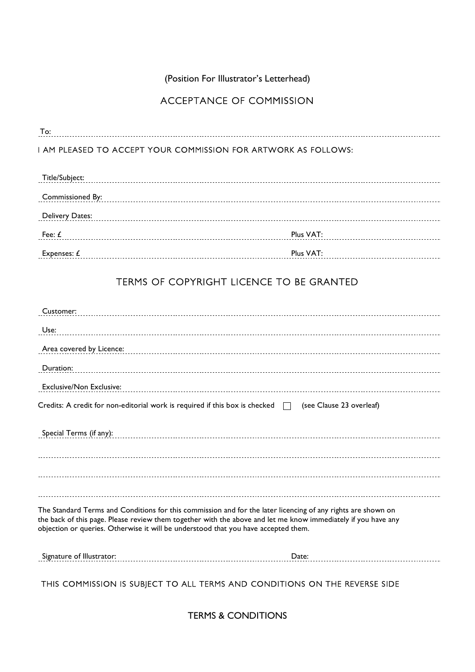(Position For Illustrator's Letterhead)

# ACCEPTANCE OF COMMISSION

To: To:

## I AM PLEASED TO ACCEPT YOUR COMMISSION FOR ARTWORK AS FOLLOWS:

| Title/Subject:   |           |
|------------------|-----------|
| Commissioned By: |           |
| Delivery Dates:  |           |
| Fee: t           | Plus VAT: |
| Expenses $f$     | Plus VAT: |

# TERMS OF COPYRIGHT LICENCE TO BE GRANTED

| Customer:                                                                          |                                                                                                                                                                                                                               |
|------------------------------------------------------------------------------------|-------------------------------------------------------------------------------------------------------------------------------------------------------------------------------------------------------------------------------|
| Use:                                                                               |                                                                                                                                                                                                                               |
| Area covered by Licence:                                                           |                                                                                                                                                                                                                               |
| Duration:                                                                          |                                                                                                                                                                                                                               |
| <b>Exclusive/Non Exclusive:</b>                                                    |                                                                                                                                                                                                                               |
|                                                                                    | Credits: A credit for non-editorial work is required if this box is checked $\Box$ (see Clause 23 overleaf)                                                                                                                   |
| Special Terms (if any):                                                            |                                                                                                                                                                                                                               |
|                                                                                    |                                                                                                                                                                                                                               |
| objection or queries. Otherwise it will be understood that you have accepted them. | The Standard Terms and Conditions for this commission and for the later licencing of any rights are shown on<br>the back of this page. Please review them together with the above and let me know immediately if you have any |
| Signature of Illustrator:                                                          | Date:                                                                                                                                                                                                                         |
|                                                                                    |                                                                                                                                                                                                                               |

THIS COMMISSION IS SUBJECT TO ALL TERMS AND CONDITIONS ON THE REVERSE SIDE

TERMS & CONDITIONS